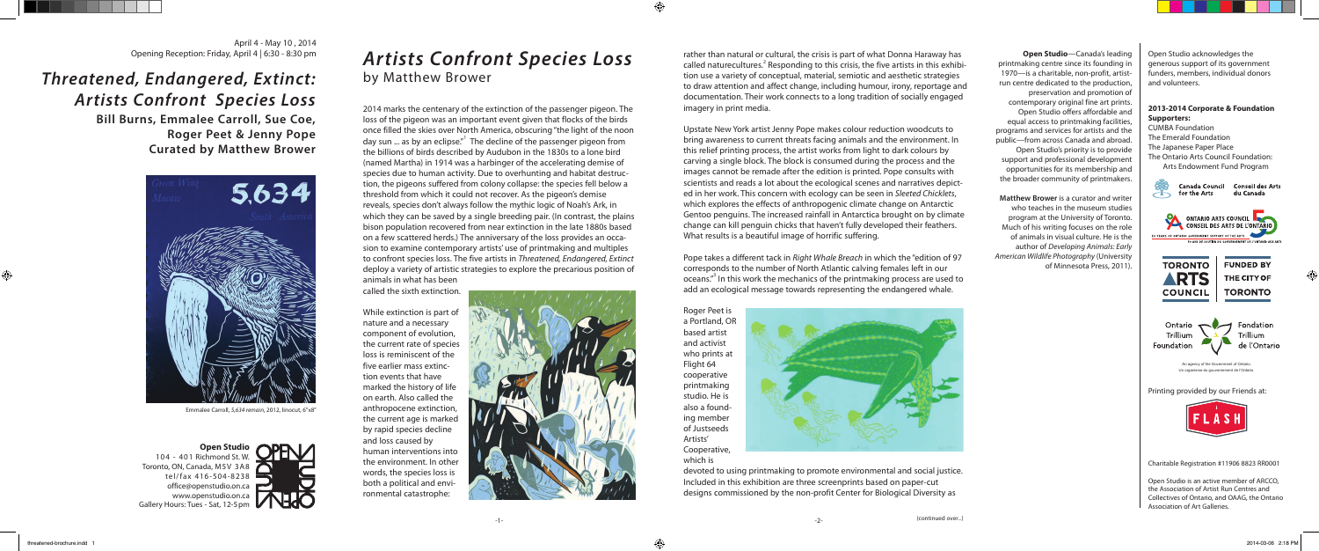April 4 - May 10, 2014<br>Opening Reception: Friday, April 4 | 6:30 - 8:30 pm

## *Threatened, Endangered, Extinct: Artists Confront Species Loss*

**Bill Burns, Emmalee Carroll, Sue Coe, Roger Peet & Jenny Pope Curated by Matthew Brower**



Emmalee Carroll, *5,634 remain*, 2012, linocut, 6"x8"



printmaking centre since its founding in 1970—is a charitable, non-profit, artistrun centre dedicated to the production, preservation and promotion of contemporary original fine art prints. Open Studio offers affordable and equal access to printmaking facilities, programs and services for artists and the public—from across Canada and abroad. Open Studio's priority is to provide support and professional development opportunities for its membership and the broader community of printmakers.

> Foundation de l'Ontario An agency of the Government of Ontari Un organisme du gouvernement de l'Ontario.

**Matthew Brower** is a curator and writer who teaches in the museum studies program at the University of Toronto. Much of his writing focuses on the role of animals in visual culture. He is the author of *Developing Animals: Early American Wildlife Photography* (University of Minnesota Press, 2011).

Open Studio acknowledges the generous support of its government funders, members, individual donors and volunteers.

## **2013-2014 Corporate & Foundation Supporters:**

CUMBA Foundation The Emerald Foundation The Japanese Paper Place The Ontario Arts Council Foundation: Arts Endowment Fund Program





**TORONTO** 

Fondation

Printing provided by our Friends at:

**COUNCIL** 

Ontario

Trillium



Charitable Registration #11906 8823 RR0001

Open Studio is an active member of ARCCO, the Association of Artist Run Centres and Collectives of Ontario, and OAAG, the Ontario Association of Art Galleries.

*Artists Confront Species Loss*  by Matthew Brower

Opening Reception: Friday, April 4 | 6:30 - 8:30 pm **Open Studio**—Canada's leading and the control of the crisis is part of what Donna Haraway has **Open Studio**—Canada's leading called naturecultures.<sup>2</sup> Responding to this crisis, the five artists in this exhibition use a variety of conceptual, material, semiotic and aesthetic strategies to draw attention and affect change, including humour, irony, reportage and documentation. Their work connects to a long tradition of socially engaged imagery in print media.

2014 marks the centenary of the extinction of the passenger pigeon. The loss of the pigeon was an important event given that flocks of the birds once filled the skies over North America, obscuring "the light of the noon day sun ... as by an eclipse."<sup>1</sup> The decline of the passenger pigeon from the billions of birds described by Audubon in the 1830s to a lone bird (named Martha) in 1914 was a harbinger of the accelerating demise of species due to human activity. Due to overhunting and habitat destruction, the pigeons suffered from colony collapse: the species fell below a threshold from which it could not recover. As the pigeon's demise reveals, species don't always follow the mythic logic of Noah's Ark, in which they can be saved by a single breeding pair. (In contrast, the plains bison population recovered from near extinction in the late 1880s based on a few scattered herds.) The anniversary of the loss provides an occasion to examine contemporary artists' use of printmaking and multiples to confront species loss. The five artists in *Threatened, Endangered, Extinct* deploy a variety of artistic strategies to explore the precarious position of animals in what has been

called the sixth extinction.

While extinction is part of nature and a necessary component of evolution, the current rate of species loss is reminiscent of the five earlier mass extinction events that have marked the history of life on earth. Also called the anthropocene extinction, the current age is marked by rapid species decline and loss caused by human interventions into the environment. In other words, the species loss is both a political and environmental catastrophe:



Upstate New York artist Jenny Pope makes colour reduction woodcuts to bring awareness to current threats facing animals and the environment. In this relief printing process, the artist works from light to dark colours by carving a single block. The block is consumed during the process and the images cannot be remade after the edition is printed. Pope consults with scientists and reads a lot about the ecological scenes and narratives depicted in her work. This concern with ecology can be seen in *Sleeted Chicklets*, which explores the effects of anthropogenic climate change on Antarctic Gentoo penguins. The increased rainfall in Antarctica brought on by climate change can kill penguin chicks that haven't fully developed their feathers. What results is a beautiful image of horrific suffering.

Pope takes a different tack in *Right Whale Breach* in which the "edition of 97 corresponds to the number of North Atlantic calving females left in our oceans."<sup>3</sup> In this work the mechanics of the printmaking process are used to add an ecological message towards representing the endangered whale.

Roger Peet is a Portland, OR based artist and activist who prints at Flight 64 cooperative printmaking studio. He is also a founding member of Justseeds Artists' Cooperative, which is



devoted to using printmaking to promote environmental and social justice. Included in this exhibition are three screenprints based on paper-cut designs commissioned by the non-profit Center for Biological Diversity as